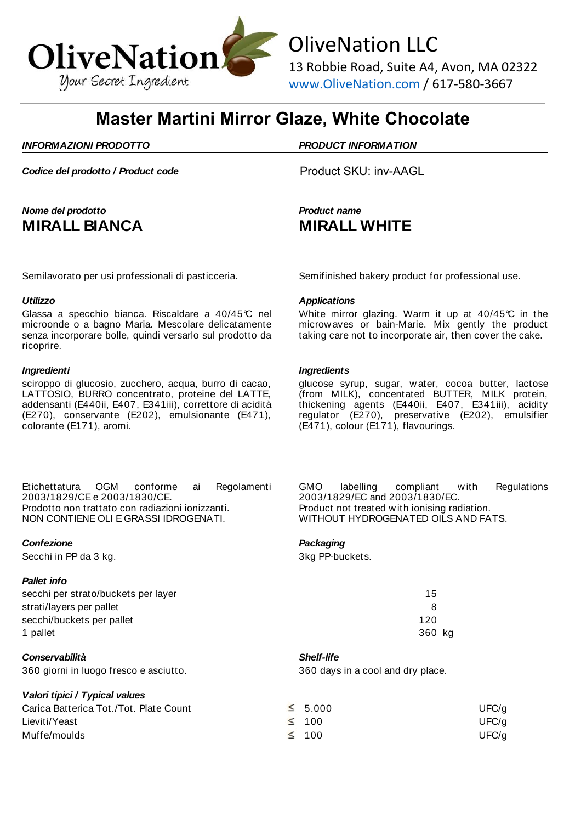

OliveNation LLC

13 Robbie Road, Suite A4, Avon, MA 02322 www.OliveNation.com / 617-580-3667

# **Master Martini Mirror Glaze, White Chocolate**

### *INFORMAZIONI PRODOTTO PRODUCT INFORMATION*

**Codice del prodotto / Product code** Product SKU: inv-AAGL

## *Nome del prodotto Product name* **MIRALL BIANCA MIRALL WHITE**

Glassa a specchio bianca. Riscaldare a 40/45°C nel microonde o a bagno Maria. Mescolare delicatamente senza incorporare bolle, quindi versarlo sul prodotto da ricoprire.

sciroppo di glucosio, zucchero, acqua, burro di cacao, LATTOSIO, BURRO concentrato, proteine del LATTE, addensanti (E440ii, E407, E341iii), correttore di acidità (E270), conservante (E202), emulsionante (E471), colorante (E171), aromi.

Etichettatura OGM conforme ai Regolamenti 2003/1829/CE e 2003/1830/CE. Prodotto non trattato con radiazioni ionizzanti. NON CONTIENE OLI E GRASSI IDROGENATI.

### *Confezione Packaging*

Secchi in PP da 3 kg. 3kg PP-buckets.

### *Pallet info*

secchi per strato/buckets per layer 15 strati/layers per pallet 8 secchi/buckets per pallet 120 1 pallet 360 kg

### *Conservabilità Shelf-life*

360 giorni in luogo fresco e asciutto. 360 days in a cool and dry place.

*Valori tipici / Typical values*

Semilavorato per usi professionali di pasticceria. Semifinished bakery product for professional use.

#### *Utilizzo Applications*

White mirror glazing. Warm it up at 40/45°C in the microwaves or bain-Marie. Mix gently the product taking care not to incorporate air, then cover the cake.

#### *Ingredienti Ingredients*

glucose syrup, sugar, water, cocoa butter, lactose (from MILK), concentated BUTTER, MILK protein, thickening agents (E440ii, E407, E341iii), acidity regulator (E270), preservative (E202), emulsifier (E471), colour (E171), flavourings.

GMO labelling compliant with Regulations 2003/1829/EC and 2003/1830/EC. Product not treated with ionising radiation. WITHOUT HYDROGENATED OILS AND FATS.

| Carica Batterica Tot./Tot. Plate Count | $\leq 5.000$ | UFC/g |
|----------------------------------------|--------------|-------|
| Lieviti/Yeast                          | $\leq$ 100   | UFC/g |
| Muffe/moulds                           | $\leq 100$   | UFC/g |
|                                        |              |       |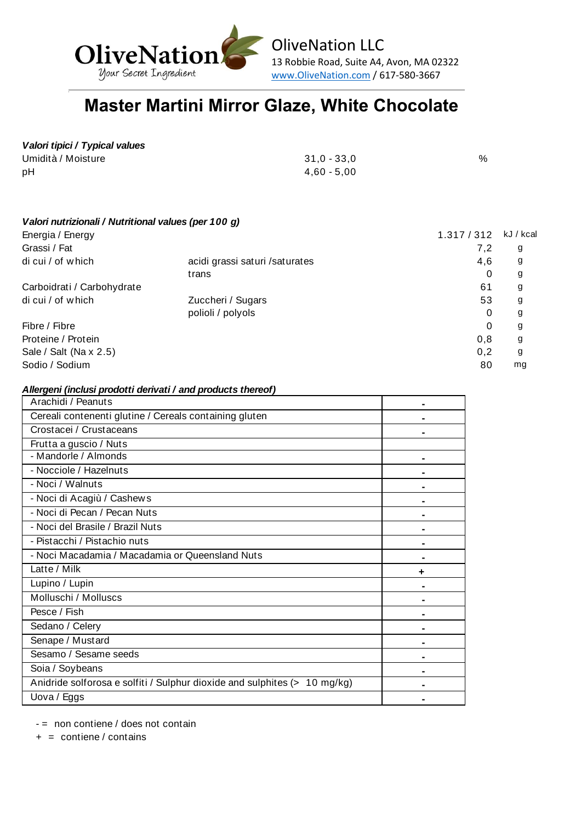

OliveNation LLC 13 Robbie Road, Suite A4, Avon, MA 02322 www.OliveNation.com / 617-580-3667

# **Master Martini Mirror Glaze, White Chocolate**

## *Valori tipici / Typical values*

| Umidità / Moisture | $31,0 - 33,0$ | % |
|--------------------|---------------|---|
| рH                 | 4,60 - 5,00   |   |

| Valori nutrizionali / Nutritional values (per 100 g) |             |           |
|------------------------------------------------------|-------------|-----------|
|                                                      | 1.317 / 312 | kJ / kcal |
|                                                      | 7,2         | g         |
| acidi grassi saturi / saturates                      | 4,6         | g         |
| trans                                                | 0           | g         |
|                                                      | 61          | g         |
| Zuccheri / Sugars                                    | 53          | g         |
| polioli / polyols                                    | 0           | g         |
|                                                      | 0           | g         |
|                                                      | 0,8         | g         |
|                                                      | 0,2         | g         |
|                                                      | 80          | mg        |
|                                                      |             |           |

#### *Allergeni (inclusi prodotti derivati / and products thereof)*

| Arachidi / Peanuts                                                        |  |
|---------------------------------------------------------------------------|--|
| Cereali contenenti glutine / Cereals containing gluten                    |  |
| Crostacei / Crustaceans                                                   |  |
| Frutta a guscio / Nuts                                                    |  |
| - Mandorle / Almonds                                                      |  |
| - Nocciole / Hazelnuts                                                    |  |
| - Noci / Walnuts                                                          |  |
| - Noci di Acagiù / Cashews                                                |  |
| - Noci di Pecan / Pecan Nuts                                              |  |
| - Noci del Brasile / Brazil Nuts                                          |  |
| - Pistacchi / Pistachio nuts                                              |  |
| - Noci Macadamia / Macadamia or Queensland Nuts                           |  |
| Latte / Milk                                                              |  |
| Lupino / Lupin                                                            |  |
| Molluschi / Molluscs                                                      |  |
| Pesce / Fish                                                              |  |
| Sedano / Celery                                                           |  |
| Senape / Mustard                                                          |  |
| Sesamo / Sesame seeds                                                     |  |
| Soia / Soybeans                                                           |  |
| Anidride solforosa e solfiti / Sulphur dioxide and sulphites (> 10 mg/kg) |  |
| Uova / Eggs                                                               |  |

 $-$  = non contiene / does not contain

 $+$  = contiene / contains